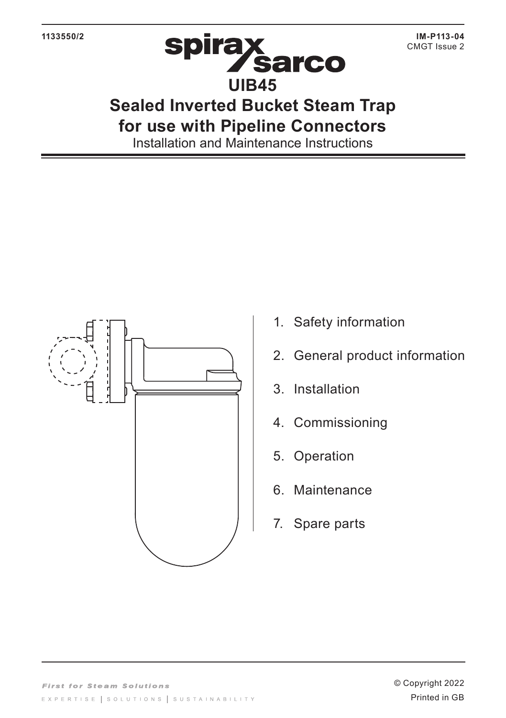# **Spirax Sarco**

**Sealed Inverted Bucket Steam Trap for use with Pipeline Connectors**

Installation and Maintenance Instructions



- 1. Safety information
- 2. General product information
- 3. Installation
- 4. Commissioning
- 5. Operation
- 6. Maintenance
- 7. Spare parts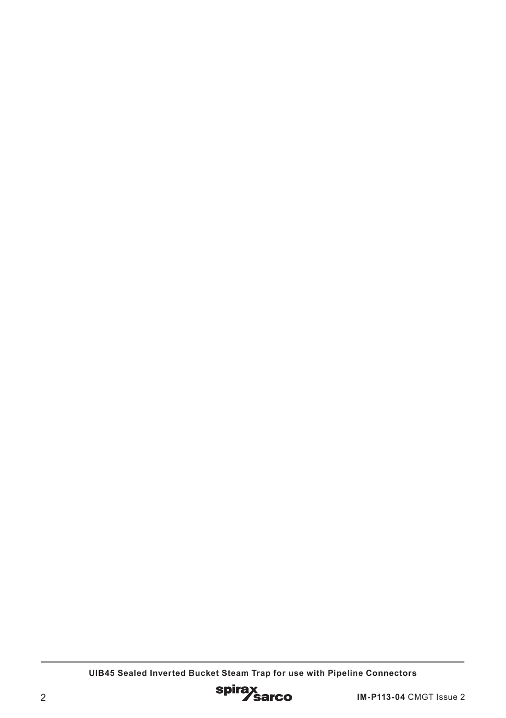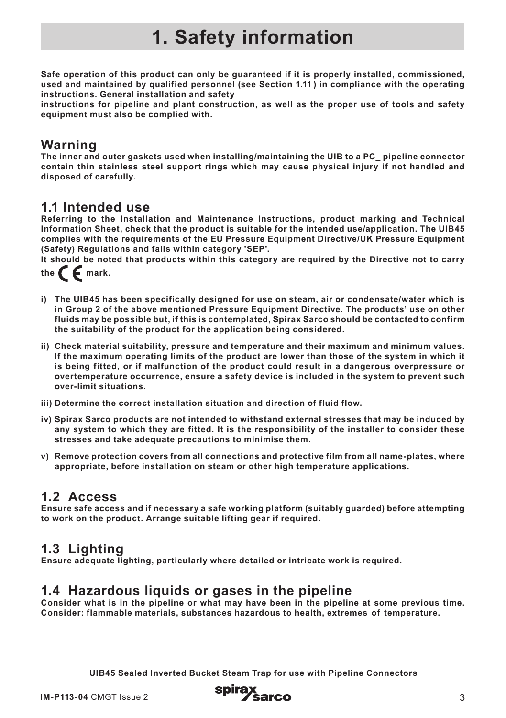# **1. Safety information**

**Safe operation of this product can only be guaranteed if it is properly installed, commissioned, used and maintained by qualified personnel (see Section 1.11 ) in compliance with the operating instructions. General installation and safety** 

**instructions for pipeline and plant construction, as well as the proper use of tools and safety equipment must also be complied with.**

## **Warning**

**The inner and outer gaskets used when installing/maintaining the UIB to a PC\_ pipeline connector contain thin stainless steel support rings which may cause physical injury if not handled and disposed of carefully.**

#### **1.1 Intended use**

**Referring to the Installation and Maintenance Instructions, product marking and Technical Information Sheet, check that the product is suitable for the intended use/application. The UIB45 complies with the requirements of the EU Pressure Equipment Directive/UK Pressure Equipment (Safety) Regulations and falls within category 'SEP'.** 

**It should be noted that products within this category are required by the Directive not to carry**  the  $\epsilon$  mark.

- **i) The UIB45 has been specifically designed for use on steam, air or condensate/water which is in Group 2 of the above mentioned Pressure Equipment Directive. The products' use on other fluids may be possible but, if this is contemplated, Spirax Sarco should be contacted to confirm the suitability of the product for the application being considered.**
- **ii) Check material suitability, pressure and temperature and their maximum and minimum values. If the maximum operating limits of the product are lower than those of the system in which it is being fitted, or if malfunction of the product could result in a dangerous overpressure or overtemperature occurrence, ensure a safety device is included in the system to prevent such over-limit situations.**
- **iii) Determine the correct installation situation and direction of fluid flow.**
- **iv) Spirax Sarco products are not intended to withstand external stresses that may be induced by any system to which they are fitted. It is the responsibility of the installer to consider these stresses and take adequate precautions to minimise them.**
- **v) Remove protection covers from all connections and protective film from all name-plates, where appropriate, before installation on steam or other high temperature applications.**

#### **1.2 Access**

**Ensure safe access and if necessary a safe working platform (suitably guarded) before attempting to work on the product. Arrange suitable lifting gear if required.**

## **1.3 Lighting**

**Ensure adequate lighting, particularly where detailed or intricate work is required.**

#### **1.4 Hazardous liquids or gases in the pipeline**

**Consider what is in the pipeline or what may have been in the pipeline at some previous time. Consider: flammable materials, substances hazardous to health, extremes of temperature.**

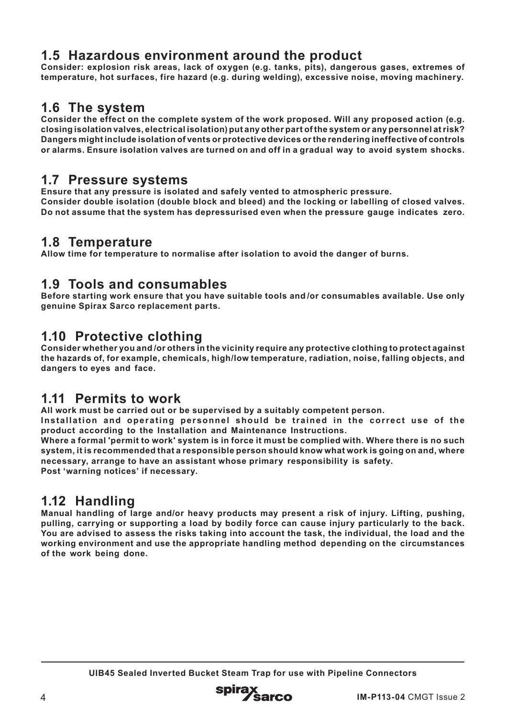## **1.5 Hazardous environment around the product**

**Consider: explosion risk areas, lack of oxygen (e.g. tanks, pits), dangerous gases, extremes of temperature, hot surfaces, fire hazard (e.g. during welding), excessive noise, moving machinery.**

#### **1.6 The system**

**Consider the effect on the complete system of the work proposed. Will any proposed action (e.g. closing isolation valves, electrical isolation) put any other part of the system or any personnel at risk? Dangers might include isolation of vents or protective devices or the rendering ineffective of controls or alarms. Ensure isolation valves are turned on and off in a gradual way to avoid system shocks.**

#### **1.7 Pressure systems**

**Ensure that any pressure is isolated and safely vented to atmospheric pressure. Consider double isolation (double block and bleed) and the locking or labelling of closed valves. Do not assume that the system has depressurised even when the pressure gauge indicates zero.**

#### **1.8 Temperature**

**Allow time for temperature to normalise after isolation to avoid the danger of burns.** 

#### **1.9 Tools and consumables**

**Before starting work ensure that you have suitable tools and /or consumables available. Use only genuine Spirax Sarco replacement parts.**

#### **1.10 Protective clothing**

**Consider whether you and /or others in the vicinity require any protective clothing to protect against the hazards of, for example, chemicals, high/low temperature, radiation, noise, falling objects, and dangers to eyes and face.**

#### **1.11 Permits to work**

**All work must be carried out or be supervised by a suitably competent person.**

**Installation and operating personnel should be trained in the correct use of the product according to the Installation and Maintenance Instructions.**

**Where a formal 'permit to work' system is in force it must be complied with. Where there is no such system, it is recommended that a responsible person should know what work is going on and, where necessary, arrange to have an assistant whose primary responsibility is safety. Post 'warning notices' if necessary.**

## **1.12 Handling**

**Manual handling of large and/or heavy products may present a risk of injury. Lifting, pushing, pulling, carrying or supporting a load by bodily force can cause injury particularly to the back. You are advised to assess the risks taking into account the task, the individual, the load and the working environment and use the appropriate handling method depending on the circumstances of the work being done.**

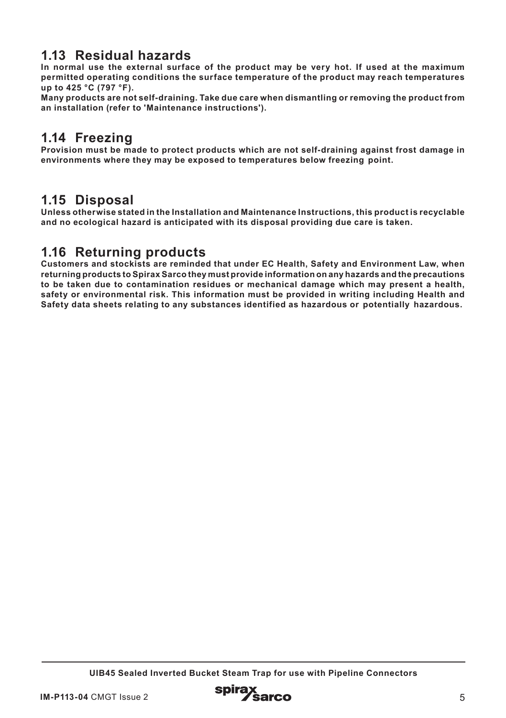## **1.13 Residual hazards**

**In normal use the external surface of the product may be very hot. If used at the maximum permitted operating conditions the surface temperature of the product may reach temperatures up to 425 °C (797 °F).** 

**Many products are not self-draining. Take due care when dismantling or removing the product from an installation (refer to 'Maintenance instructions').**

#### **1.14 Freezing**

**Provision must be made to protect products which are not self-draining against frost damage in environments where they may be exposed to temperatures below freezing point.**

#### **1.15 Disposal**

**Unless otherwise stated in the Installation and Maintenance Instructions, this product is recyclable and no ecological hazard is anticipated with its disposal providing due care is taken.** 

#### **1.16 Returning products**

**Customers and stockists are reminded that under EC Health, Safety and Environment Law, when returning products to Spirax Sarco they must provide information on any hazards and the precautions to be taken due to contamination residues or mechanical damage which may present a health, safety or environmental risk. This information must be provided in writing including Health and Safety data sheets relating to any substances identified as hazardous or potentially hazardous.**

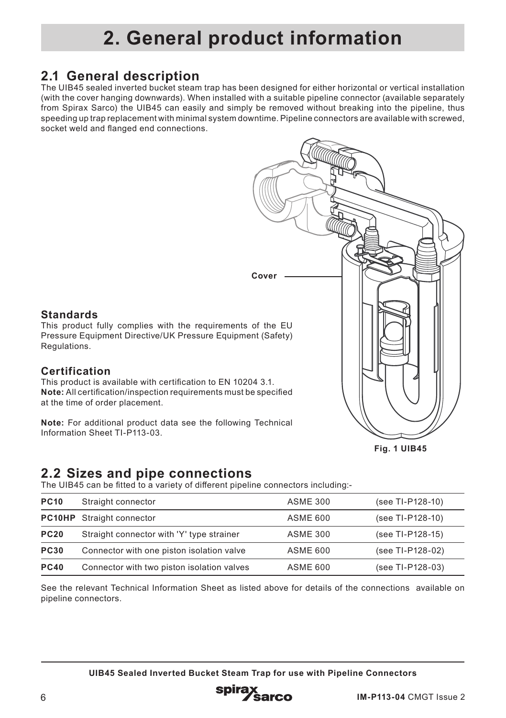# **2. General product information**

## **2.1 General description**

The UIB45 sealed inverted bucket steam trap has been designed for either horizontal or vertical installation (with the cover hanging downwards). When installed with a suitable pipeline connector (available separately from Spirax Sarco) the UIB45 can easily and simply be removed without breaking into the pipeline, thus speeding up trap replacement with minimal system downtime. Pipeline connectors are available with screwed, socket weld and flanged end connections.

**Cover**

#### **Standards**

This product fully complies with the requirements of the EU Pressure Equipment Directive/UK Pressure Equipment (Safety) Regulations.

#### **Certification**

This product is available with certification to EN 10204 3.1. **Note:** All certification/inspection requirements must be specified at the time of order placement.

**Note:** For additional product data see the following Technical Information Sheet TI-P113-03.

## **2.2 Sizes and pipe connections**

The UIB45 can be fitted to a variety of different pipeline connectors including:-

| <b>PC10</b> | Straight connector                         | <b>ASME 300</b> | (see TI-P128-10) |
|-------------|--------------------------------------------|-----------------|------------------|
|             | <b>PC10HP</b> Straight connector           | <b>ASME 600</b> | (see TI-P128-10) |
| <b>PC20</b> | Straight connector with 'Y' type strainer  | <b>ASME 300</b> | (see TI-P128-15) |
| <b>PC30</b> | Connector with one piston isolation valve  | <b>ASME 600</b> | (see TI-P128-02) |
| <b>PC40</b> | Connector with two piston isolation valves | <b>ASME 600</b> | (see TI-P128-03) |

See the relevant Technical Information Sheet as listed above for details of the connections available on pipeline connectors.

**UIB45 Sealed Inverted Bucket Steam Trap for use with Pipeline Connectors**



**Fig. 1 UIB45**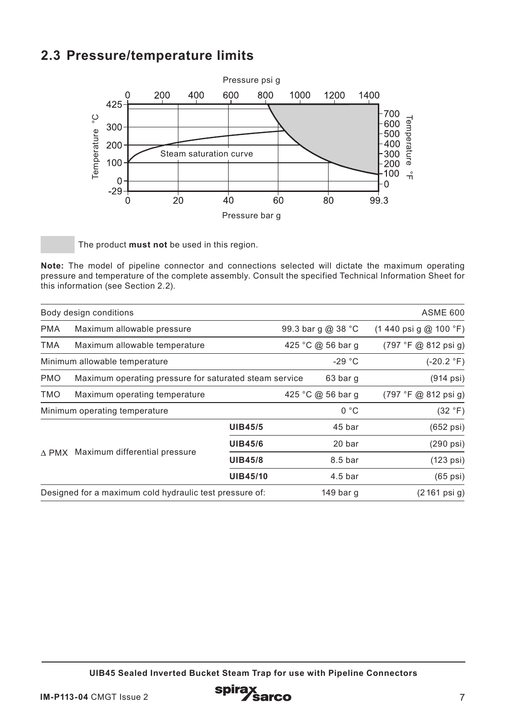## **2.3 Pressure/temperature limits**



| <b>TMA</b><br><b>PMO</b><br><b>TMO</b> | Minimum allowable temperature<br>Minimum operating temperature<br>A PMX Maximum differential pressure |                         |  | Maximum operating temperature |                        | Maximum operating pressure for saturated steam service<br><b>UIB45/5</b><br><b>UIB45/6</b><br><b>UIB45/8</b><br>UIB45/10<br>Designed for a maximum cold hydraulic test pressure of: |                    | 425 °C @ 56 bar g<br>$-29 °C$<br>63 bar q<br>425 °C @ 56 bar q<br>0 °C<br>45 bar<br>20 bar<br>8.5 <sub>bar</sub><br>4.5 <sub>bar</sub><br>149 bar $g$ | (797 °F @ 812 psi g)<br>$(-20.2 °F)$<br>$(914$ psi)<br>(797 °F @ 812 psi g)<br>(32 °F)<br>$(652 \text{ psi})$<br>$(290 \text{ psi})$<br>$(123 \text{ psi})$<br>$(65 \text{ psi})$<br>(2 161 psi g)            |
|----------------------------------------|-------------------------------------------------------------------------------------------------------|-------------------------|--|-------------------------------|------------------------|-------------------------------------------------------------------------------------------------------------------------------------------------------------------------------------|--------------------|-------------------------------------------------------------------------------------------------------------------------------------------------------|---------------------------------------------------------------------------------------------------------------------------------------------------------------------------------------------------------------|
|                                        |                                                                                                       |                         |  |                               |                        |                                                                                                                                                                                     |                    |                                                                                                                                                       |                                                                                                                                                                                                               |
|                                        |                                                                                                       |                         |  |                               |                        |                                                                                                                                                                                     |                    |                                                                                                                                                       |                                                                                                                                                                                                               |
|                                        |                                                                                                       |                         |  |                               |                        |                                                                                                                                                                                     |                    |                                                                                                                                                       |                                                                                                                                                                                                               |
|                                        |                                                                                                       |                         |  |                               |                        |                                                                                                                                                                                     |                    |                                                                                                                                                       |                                                                                                                                                                                                               |
|                                        |                                                                                                       |                         |  |                               |                        |                                                                                                                                                                                     |                    |                                                                                                                                                       |                                                                                                                                                                                                               |
|                                        |                                                                                                       |                         |  |                               |                        |                                                                                                                                                                                     |                    |                                                                                                                                                       |                                                                                                                                                                                                               |
|                                        |                                                                                                       |                         |  |                               |                        |                                                                                                                                                                                     |                    |                                                                                                                                                       |                                                                                                                                                                                                               |
|                                        |                                                                                                       |                         |  |                               |                        |                                                                                                                                                                                     |                    |                                                                                                                                                       |                                                                                                                                                                                                               |
|                                        | Maximum allowable temperature                                                                         |                         |  |                               |                        |                                                                                                                                                                                     |                    |                                                                                                                                                       |                                                                                                                                                                                                               |
| <b>PMA</b>                             | Maximum allowable pressure                                                                            |                         |  |                               |                        |                                                                                                                                                                                     | 99.3 bar g @ 38 °C | $(1440 \text{ psi } q \text{ @ } 100 \text{ °F})$                                                                                                     |                                                                                                                                                                                                               |
|                                        | Body design conditions                                                                                |                         |  |                               |                        |                                                                                                                                                                                     |                    |                                                                                                                                                       | <b>ASME 600</b>                                                                                                                                                                                               |
|                                        | this information (see Section 2.2).                                                                   |                         |  |                               |                        | The product must not be used in this region.                                                                                                                                        |                    |                                                                                                                                                       | Note: The model of pipeline connector and connections selected will dictate the maximum operating<br>pressure and temperature of the complete assembly. Consult the specified Technical Information Sheet for |
|                                        |                                                                                                       |                         |  |                               |                        | Pressure bar q                                                                                                                                                                      |                    |                                                                                                                                                       |                                                                                                                                                                                                               |
|                                        |                                                                                                       | 0                       |  | 20                            |                        | 40                                                                                                                                                                                  | 60                 | 80                                                                                                                                                    | 99.3                                                                                                                                                                                                          |
|                                        |                                                                                                       | 0<br>$-29$              |  |                               |                        |                                                                                                                                                                                     |                    |                                                                                                                                                       | $\Omega$                                                                                                                                                                                                      |
|                                        |                                                                                                       | 100 <sub>1</sub>        |  |                               |                        |                                                                                                                                                                                     |                    |                                                                                                                                                       | 200<br>100<br>$\vec{\tau}$                                                                                                                                                                                    |
|                                        |                                                                                                       |                         |  |                               | Steam saturation curve |                                                                                                                                                                                     |                    |                                                                                                                                                       | Temperature<br>400<br>300                                                                                                                                                                                     |
|                                        |                                                                                                       |                         |  |                               |                        |                                                                                                                                                                                     |                    |                                                                                                                                                       |                                                                                                                                                                                                               |
|                                        | Temperature                                                                                           | 300 <sub>1</sub><br>200 |  |                               |                        |                                                                                                                                                                                     |                    |                                                                                                                                                       | 500                                                                                                                                                                                                           |

**UIB45 Sealed Inverted Bucket Steam Trap for use with Pipeline Connectors**

**IM-P113-04 CMGT Issue 2 Spirax Sarco** 7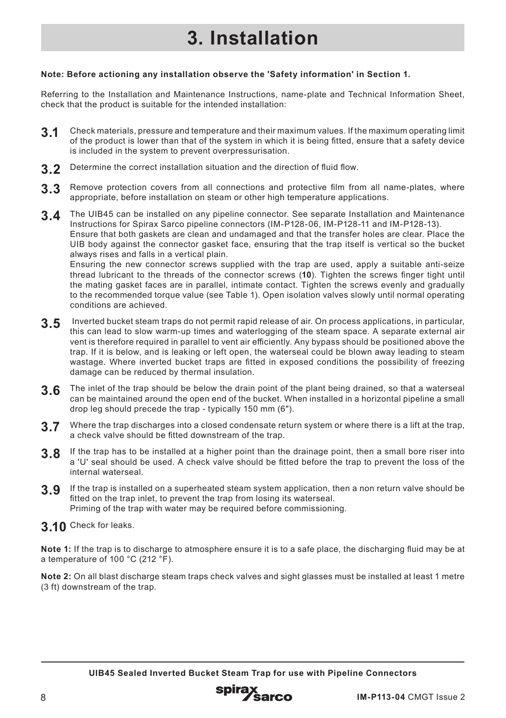# **3. Installation**

#### **Note: Before actioning any installation observe the 'Safety information' in Section 1.**

Referring to the Installation and Maintenance Instructions, name-plate and Technical Information Sheet, check that the product is suitable for the intended installation:

- **3.1** Check materials, pressure and temperature and their maximum values. If the maximum operating limit of the product is lower than that of the system in which it is being fitted, ensure that a safety device is included in the system to prevent overpressurisation.
- **3.2** Determine the correct installation situation and the direction of fluid flow.
- **3.3** Remove protection covers from all connections and protective film from all name-plates, where appropriate, before installation on steam or other high temperature applications.
- **3.4** The UIB45 can be installed on any pipeline connector. See separate Installation and Maintenance Instructions for Spirax Sarco pipeline connectors (IM-P128-06, IM-P128-11 and IM-P128-13). Ensure that both gaskets are clean and undamaged and that the transfer holes are clear. Place the UIB body against the connector gasket face, ensuring that the trap itself is vertical so the bucket always rises and falls in a vertical plain.

Ensuring the new connector screws supplied with the trap are used, apply a suitable anti-seize thread lubricant to the threads of the connector screws (**10**). Tighten the screws finger tight until the mating gasket faces are in parallel, intimate contact. Tighten the screws evenly and gradually to the recommended torque value (see Table 1). Open isolation valves slowly until normal operating conditions are achieved.

- **3.5** Inverted bucket steam traps do not permit rapid release of air. On process applications, in particular, this can lead to slow warm-up times and waterlogging of the steam space. A separate external air vent is therefore required in parallel to vent air efficiently. Any bypass should be positioned above the trap. If it is below, and is leaking or left open, the waterseal could be blown away leading to steam wastage. Where inverted bucket traps are fitted in exposed conditions the possibility of freezing damage can be reduced by thermal insulation.
- **3.6** The inlet of the trap should be below the drain point of the plant being drained, so that a waterseal can be maintained around the open end of the bucket. When installed in a horizontal pipeline a small drop leg should precede the trap - typically 150 mm (6").
- **3.7** Where the trap discharges into a closed condensate return system or where there is a lift at the trap, a check valve should be fitted downstream of the trap.
- **3.8** If the trap has to be installed at a higher point than the drainage point, then a small bore riser into a 'U' seal should be used. A check valve should be fitted before the trap to prevent the loss of the internal waterseal.
- **3.9** If the trap is installed on a superheated steam system application, then a non return valve should be fitted on the trap inlet, to prevent the trap from losing its waterseal. Priming of the trap with water may be required before commissioning.
- **3.10** Check for leaks.

**Note 1:** If the trap is to discharge to atmosphere ensure it is to a safe place, the discharging fluid may be at a temperature of 100 °C (212 °F).

**Note 2:** On all blast discharge steam traps check valves and sight glasses must be installed at least 1 metre (3 ft) downstream of the trap.

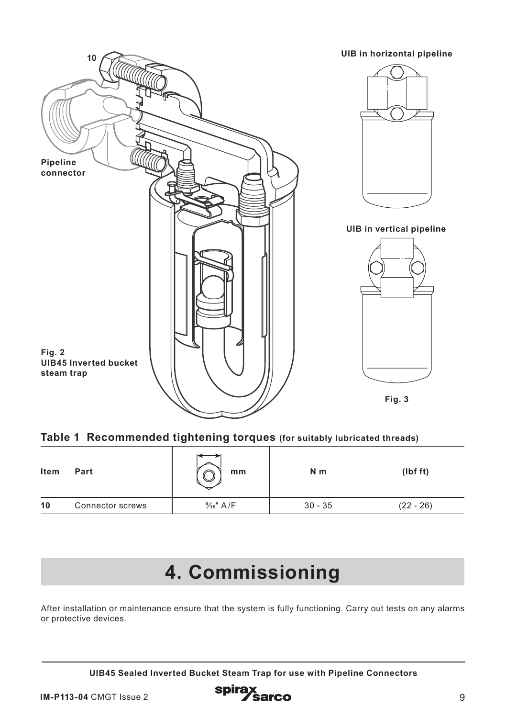

#### **Table 1 Recommended tightening torques (for suitably lubricated threads)**

| Item | Part             | mm                   | N <sub>m</sub> | (lbf ft)    |
|------|------------------|----------------------|----------------|-------------|
| 10   | Connector screws | $\frac{9}{16}$ " A/F | $30 - 35$      | $(22 - 26)$ |

# **4. Commissioning**

After installation or maintenance ensure that the system is fully functioning. Carry out tests on any alarms or protective devices.

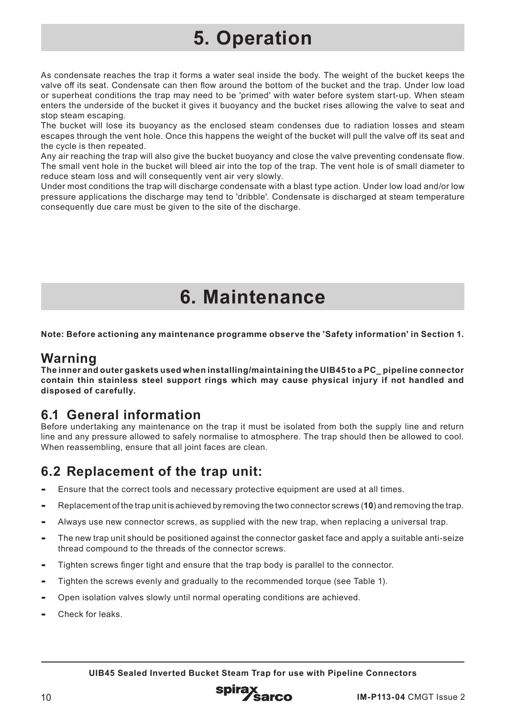# **5. Operation**

As condensate reaches the trap it forms a water seal inside the body. The weight of the bucket keeps the valve off its seat. Condensate can then flow around the bottom of the bucket and the trap. Under low load or superheat conditions the trap may need to be 'primed' with water before system start-up. When steam enters the underside of the bucket it gives it buoyancy and the bucket rises allowing the valve to seat and stop steam escaping.

The bucket will lose its buoyancy as the enclosed steam condenses due to radiation losses and steam escapes through the vent hole. Once this happens the weight of the bucket will pull the valve off its seat and the cycle is then repeated.

Any air reaching the trap will also give the bucket buoyancy and close the valve preventing condensate flow. The small vent hole in the bucket will bleed air into the top of the trap. The vent hole is of small diameter to reduce steam loss and will consequently vent air very slowly.

Under most conditions the trap will discharge condensate with a blast type action. Under low load and/or low pressure applications the discharge may tend to 'dribble'. Condensate is discharged at steam temperature consequently due care must be given to the site of the discharge.

# **6. Maintenance**

**Note: Before actioning any maintenance programme observe the 'Safety information' in Section 1.**

#### **Warning**

**The inner and outer gaskets used when installing/maintaining the UIB45 to a PC\_ pipeline connector contain thin stainless steel support rings which may cause physical injury if not handled and disposed of carefully.**

#### **6.1 General information**

Before undertaking any maintenance on the trap it must be isolated from both the supply line and return line and any pressure allowed to safely normalise to atmosphere. The trap should then be allowed to cool. When reassembling, ensure that all joint faces are clean.

#### **6.2 Replacement of the trap unit:**

- **-** Ensure that the correct tools and necessary protective equipment are used at all times.
- **-** Replacement of the trap unit is achieved by removing the two connector screws (**10**) and removing the trap.
- **-** Always use new connector screws, as supplied with the new trap, when replacing a universal trap.
- **-** The new trap unit should be positioned against the connector gasket face and apply a suitable anti-seize thread compound to the threads of the connector screws.
- **-** Tighten screws finger tight and ensure that the trap body is parallel to the connector.
- **-** Tighten the screws evenly and gradually to the recommended torque (see Table 1).
- **-** Open isolation valves slowly until normal operating conditions are achieved.
- **-** Check for leaks.

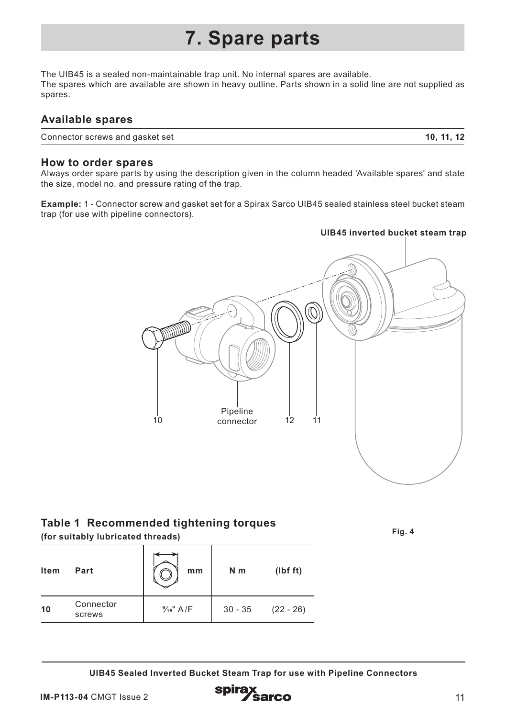# **7. Spare parts**

The UIB45 is a sealed non-maintainable trap unit. No internal spares are available. The spares which are available are shown in heavy outline. Parts shown in a solid line are not supplied as spares.

#### **Available spares**

| 10, 11, 12 |  |
|------------|--|
|            |  |

#### **How to order spares**

Always order spare parts by using the description given in the column headed 'Available spares' and state the size, model no. and pressure rating of the trap.

**Example:** 1 - Connector screw and gasket set for a Spirax Sarco UIB45 sealed stainless steel bucket steam trap (for use with pipeline connectors).



#### **Table 1 Recommended tightening torques (for suitably lubricated threads)**

**Fig. 4**

| Item | Part                | mm                   | N <sub>m</sub> | (lbf ft)    |
|------|---------------------|----------------------|----------------|-------------|
| 10   | Connector<br>screws | $\frac{9}{16}$ " A/F | $30 - 35$      | $(22 - 26)$ |